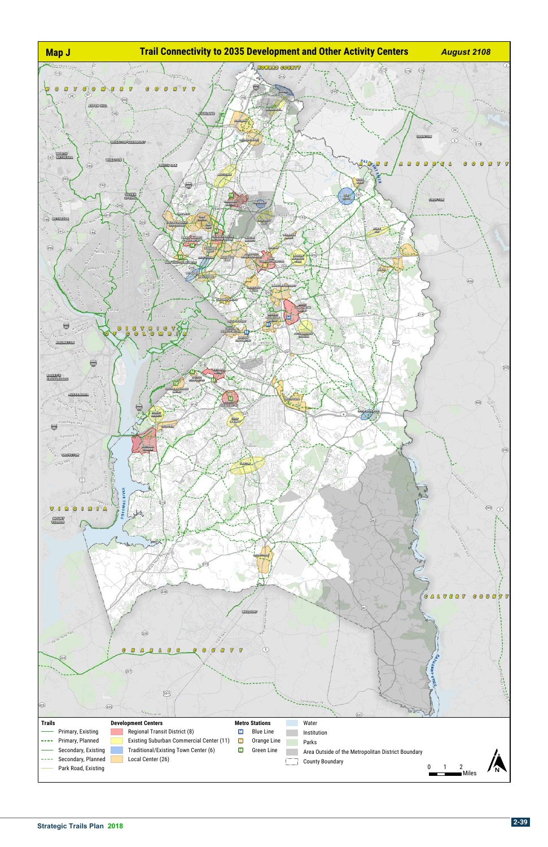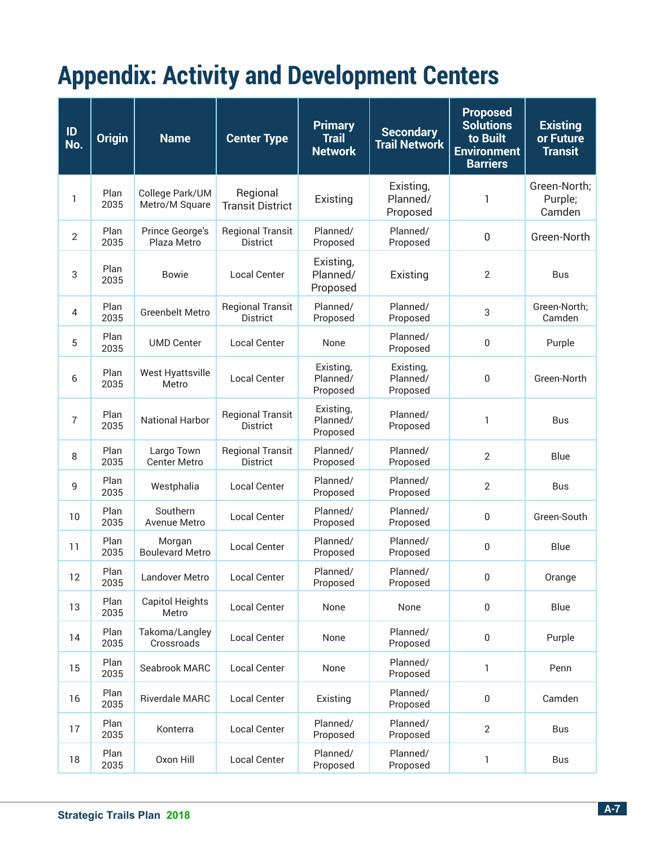## **Appendix: Activity and Development Centers**

| ID<br>No.      | <b>Origin</b> | <b>Name</b>                       | <b>Center Type</b>                         | <b>Primary</b><br><b>Trail</b><br><b>Network</b> | <b>Secondary</b><br><b>Trail Network</b> | <b>Proposed</b><br><b>Solutions</b><br>to Built<br><b>Environment</b><br><b>Barriers</b> | <b>Existing</b><br>or Future<br><b>Transit</b> |
|----------------|---------------|-----------------------------------|--------------------------------------------|--------------------------------------------------|------------------------------------------|------------------------------------------------------------------------------------------|------------------------------------------------|
| 1              | Plan<br>2035  | College Park/UM<br>Metro/M Square | Regional<br><b>Transit District</b>        | Existing                                         | Existing,<br>Planned/<br>Proposed        | 1                                                                                        | Green-North;<br>Purple;<br>Camden              |
| $\overline{2}$ | Plan<br>2035  | Prince George's<br>Plaza Metro    | <b>Regional Transit</b><br><b>District</b> | Planned/<br>Proposed                             | Planned/<br>Proposed                     | $\mathbf 0$                                                                              | Green-North                                    |
| 3              | Plan<br>2035  | <b>Bowie</b>                      | <b>Local Center</b>                        | Existing,<br>Planned/<br>Proposed                | Existing                                 | $\overline{2}$                                                                           | <b>Bus</b>                                     |
| 4              | Plan<br>2035  | <b>Greenbelt Metro</b>            | <b>Regional Transit</b><br><b>District</b> | Planned/<br>Proposed                             | Planned/<br>Proposed                     | 3                                                                                        | Green-North;<br>Camden                         |
| 5              | Plan<br>2035  | <b>UMD Center</b>                 | <b>Local Center</b>                        | None                                             | Planned/<br>Proposed                     | 0                                                                                        | Purple                                         |
| 6              | Plan<br>2035  | <b>West Hyattsville</b><br>Metro  | <b>Local Center</b>                        | Existing,<br>Planned/<br>Proposed                | Existing,<br>Planned/<br>Proposed        | 0                                                                                        | Green-North                                    |
| $\overline{7}$ | Plan<br>2035  | <b>National Harbor</b>            | <b>Regional Transit</b><br><b>District</b> | Existing,<br>Planned/<br>Proposed                | Planned/<br>Proposed                     | 1                                                                                        | <b>Bus</b>                                     |
| 8              | Plan<br>2035  | Largo Town<br><b>Center Metro</b> | <b>Regional Transit</b><br><b>District</b> | Planned/<br>Proposed                             | Planned/<br>Proposed                     | $\overline{2}$                                                                           | Blue                                           |
| 9              | Plan<br>2035  | Westphalia                        | <b>Local Center</b>                        | Planned/<br>Proposed                             | Planned/<br>Proposed                     | $\overline{2}$                                                                           | <b>Bus</b>                                     |
| 10             | Plan<br>2035  | Southern<br>Avenue Metro          | <b>Local Center</b>                        | Planned/<br>Proposed                             | Planned/<br>Proposed                     | 0                                                                                        | Green-South                                    |
| 11             | Plan<br>2035  | Morgan<br><b>Boulevard Metro</b>  | <b>Local Center</b>                        | Planned/<br>Proposed                             | Planned/<br>Proposed                     | 0                                                                                        | Blue                                           |
| 12             | Plan<br>2035  | Landover Metro                    | <b>Local Center</b>                        | Planned/<br>Proposed                             | Planned/<br>Proposed                     | 0                                                                                        | Orange                                         |
| 13             | Plan<br>2035  | <b>Capitol Heights</b><br>Metro   | <b>Local Center</b>                        | None                                             | None                                     | $\boldsymbol{0}$                                                                         | Blue                                           |
| 14             | Plan<br>2035  | Takoma/Langley<br>Crossroads      | <b>Local Center</b>                        | None                                             | Planned/<br>Proposed                     | 0                                                                                        | Purple                                         |
| 15             | Plan<br>2035  | Seabrook MARC                     | <b>Local Center</b>                        | None                                             | Planned/<br>Proposed                     | 1                                                                                        | Penn                                           |
| 16             | Plan<br>2035  | Riverdale MARC                    | <b>Local Center</b>                        | Existing                                         | Planned/<br>Proposed                     | 0                                                                                        | Camden                                         |
| 17             | Plan<br>2035  | Konterra                          | <b>Local Center</b>                        | Planned/<br>Proposed                             | Planned/<br>Proposed                     | $\overline{2}$                                                                           | Bus                                            |
| 18             | Plan<br>2035  | Oxon Hill                         | <b>Local Center</b>                        | Planned/<br>Proposed                             | Planned/<br>Proposed                     | 1                                                                                        | Bus                                            |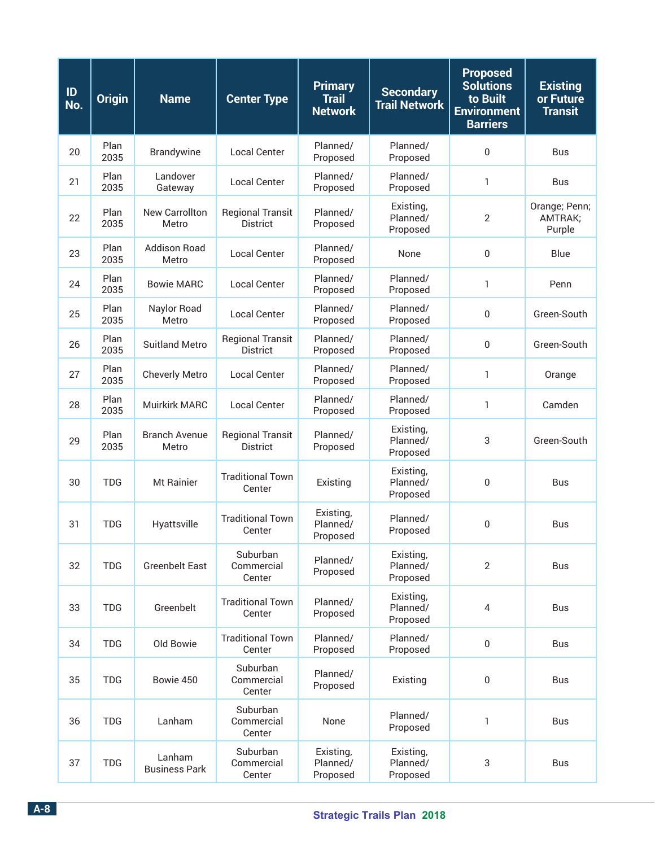| ID<br>No. | <b>Origin</b> | <b>Name</b>                    | <b>Center Type</b>                         | <b>Primary</b><br><b>Trail</b><br><b>Network</b> | <b>Secondary</b><br><b>Trail Network</b> | <b>Proposed</b><br><b>Solutions</b><br>to Built<br><b>Environment</b><br><b>Barriers</b> | <b>Existing</b><br>or Future<br><b>Transit</b> |
|-----------|---------------|--------------------------------|--------------------------------------------|--------------------------------------------------|------------------------------------------|------------------------------------------------------------------------------------------|------------------------------------------------|
| 20        | Plan<br>2035  | Brandywine                     | <b>Local Center</b>                        | Planned/<br>Proposed                             | Planned/<br>Proposed                     | $\mathbf 0$                                                                              | <b>Bus</b>                                     |
| 21        | Plan<br>2035  | Landover<br>Gateway            | <b>Local Center</b>                        | Planned/<br>Proposed                             | Planned/<br>Proposed                     | $\mathbf{1}$                                                                             | <b>Bus</b>                                     |
| 22        | Plan<br>2035  | New Carrollton<br>Metro        | <b>Regional Transit</b><br><b>District</b> | Planned/<br>Proposed                             | Existing,<br>Planned/<br>Proposed        | $\overline{2}$                                                                           | Orange; Penn;<br>AMTRAK;<br>Purple             |
| 23        | Plan<br>2035  | <b>Addison Road</b><br>Metro   | <b>Local Center</b>                        | Planned/<br>Proposed                             | None                                     | $\mathbf{0}$                                                                             | Blue                                           |
| 24        | Plan<br>2035  | <b>Bowie MARC</b>              | <b>Local Center</b>                        | Planned/<br>Proposed                             | Planned/<br>Proposed                     | $\mathbf{1}$                                                                             | Penn                                           |
| 25        | Plan<br>2035  | Naylor Road<br>Metro           | <b>Local Center</b>                        | Planned/<br>Proposed                             | Planned/<br>Proposed                     | $\pmb{0}$                                                                                | Green-South                                    |
| 26        | Plan<br>2035  | <b>Suitland Metro</b>          | <b>Regional Transit</b><br><b>District</b> | Planned/<br>Proposed                             | Planned/<br>Proposed                     | $\mathbf{0}$                                                                             | Green-South                                    |
| 27        | Plan<br>2035  | <b>Cheverly Metro</b>          | <b>Local Center</b>                        | Planned/<br>Proposed                             | Planned/<br>Proposed                     | $\mathbf{1}$                                                                             | Orange                                         |
| 28        | Plan<br>2035  | <b>Muirkirk MARC</b>           | <b>Local Center</b>                        | Planned/<br>Proposed                             | Planned/<br>Proposed                     | $\mathbf{1}$                                                                             | Camden                                         |
| 29        | Plan<br>2035  | <b>Branch Avenue</b><br>Metro  | <b>Regional Transit</b><br><b>District</b> | Planned/<br>Proposed                             | Existing,<br>Planned/<br>Proposed        | 3                                                                                        | Green-South                                    |
| 30        | <b>TDG</b>    | Mt Rainier                     | <b>Traditional Town</b><br>Center          | Existing                                         | Existing,<br>Planned/<br>Proposed        | $\mathbf 0$                                                                              | <b>Bus</b>                                     |
| 31        | <b>TDG</b>    | Hyattsville                    | <b>Traditional Town</b><br>Center          | Existing,<br>Planned/<br>Proposed                | Planned/<br>Proposed                     | $\mathbf 0$                                                                              | <b>Bus</b>                                     |
| 32        | <b>TDG</b>    | <b>Greenbelt East</b>          | Suburban<br>Commercial<br>Center           | Planned/<br>Proposed                             | Existing,<br>Planned/<br>Proposed        | $\overline{2}$                                                                           | <b>Bus</b>                                     |
| 33        | <b>TDG</b>    | Greenbelt                      | <b>Traditional Town</b><br>Center          | Planned/<br>Proposed                             | Existing,<br>Planned/<br>Proposed        | $\overline{4}$                                                                           | <b>Bus</b>                                     |
| 34        | <b>TDG</b>    | Old Bowie                      | <b>Traditional Town</b><br>Center          | Planned/<br>Proposed                             | Planned/<br>Proposed                     | 0                                                                                        | Bus                                            |
| 35        | <b>TDG</b>    | Bowie 450                      | Suburban<br>Commercial<br>Center           | Planned/<br>Proposed                             | Existing                                 | $\boldsymbol{0}$                                                                         | Bus                                            |
| 36        | <b>TDG</b>    | Lanham                         | Suburban<br>Commercial<br>Center           | None                                             | Planned/<br>Proposed                     | $\mathbf{1}$                                                                             | Bus                                            |
| 37        | <b>TDG</b>    | Lanham<br><b>Business Park</b> | Suburban<br>Commercial<br>Center           | Existing,<br>Planned/<br>Proposed                | Existing,<br>Planned/<br>Proposed        | 3                                                                                        | Bus                                            |